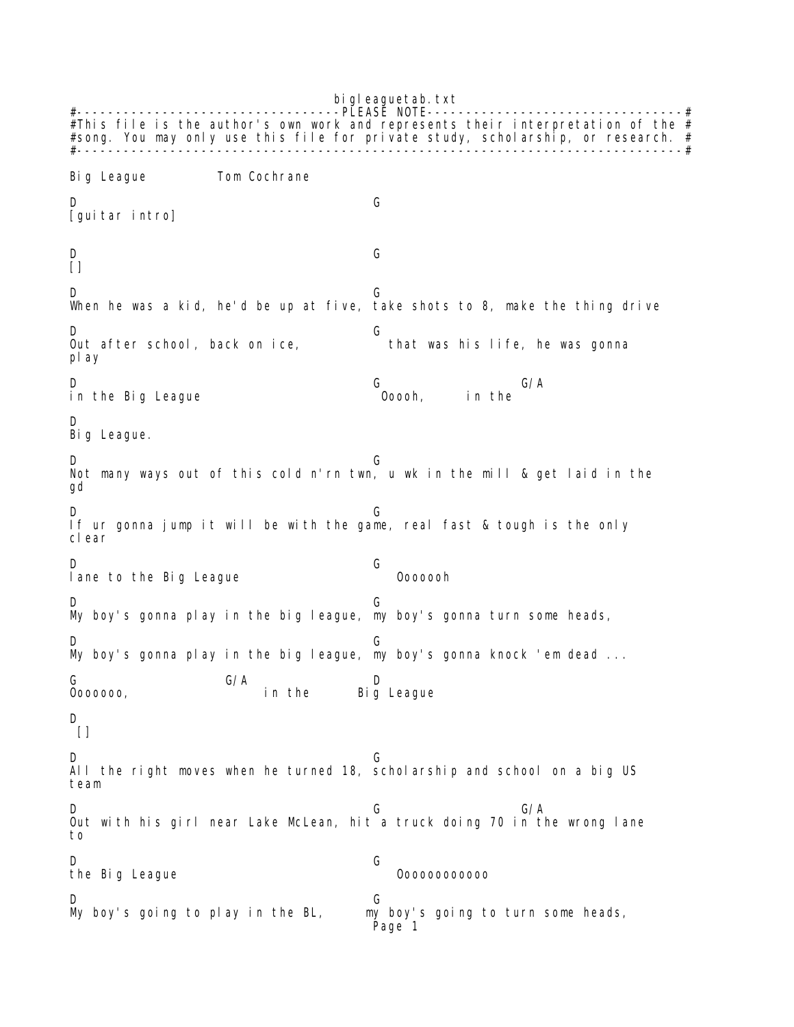bi gleaguetab.txt #----------------------------------PLEASE NOTE---------------------------------# #This file is the author's own work and represents their interpretation of the  $#$ #song. You may only use this file for private study, scholarship, or research. # #------------------------------------------------------------------------------# Big League Tom Cochrane D G [quitar intro] D G  $\lceil$ ] D G When he was a kid, he'd be up at five, take shots to 8, make the thing drive D<br>Out after school, back on ice, G that was his life, he was gonna play D G G/A in the Big League **Contact Contact Contact Contact Contact** in the D Big League. D G Not many ways out of this cold n'rn twn, u wk in the mill & get laid in the gd D G If ur gonna jump it will be with the game, real fast & tough is the only clear D G lane to the Big League **Constant Contact Constant** Ooooooh D G My boy's gonna play in the big league, my boy's gonna turn some heads, D G My boy's gonna play in the big league, my boy's gonna knock 'em dead ... G G/A D Ooooooo, in the Big League D  $\lceil$ ] D G All the right moves when he turned 18, scholarship and school on a big US team D G G/A Out with his girl near Lake McLean, hit a truck doing 70 in the wrong lane to D G the Big League **Communist Communist Communist Communist Communist Communist Communist Communist Communist Communist Communist Communist Communist Communist Communist Communist Communist Communist Communist Communist Commun** My boy's going to play in the BL, my boy's going to turn some heads, Page 1